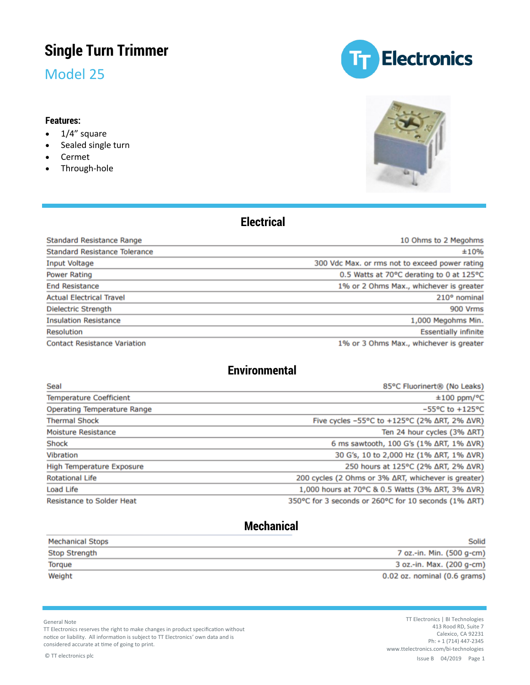# **Single Turn Trimmer**

Model 25

#### **Features:**

- 1/4" square
- Sealed single turn
- Cermet
- Through-hole





### **Electrical**

| <b>Standard Resistance Range</b>     | 10 Ohms to 2 Megohms                           |  |  |
|--------------------------------------|------------------------------------------------|--|--|
| <b>Standard Resistance Tolerance</b> | ±10%                                           |  |  |
| <b>Input Voltage</b>                 | 300 Vdc Max, or rms not to exceed power rating |  |  |
| <b>Power Rating</b>                  | 0.5 Watts at 70°C derating to 0 at 125°C       |  |  |
| <b>End Resistance</b>                | 1% or 2 Ohms Max., whichever is greater        |  |  |
| <b>Actual Electrical Travel</b>      | 210° nominal                                   |  |  |
| <b>Dielectric Strength</b>           | 900 Vrms                                       |  |  |
| <b>Insulation Resistance</b>         | 1,000 Megohms Min.                             |  |  |
| <b>Resolution</b>                    | <b>Essentially infinite</b>                    |  |  |
| <b>Contact Resistance Variation</b>  | 1% or 3 Ohms Max., whichever is greater        |  |  |

### **Environmental**

| Seal                               | 85°C Fluorinert <sup>®</sup> (No Leaks)                                          |  |  |
|------------------------------------|----------------------------------------------------------------------------------|--|--|
| <b>Temperature Coefficient</b>     | $±100$ ppm/°C                                                                    |  |  |
| <b>Operating Temperature Range</b> | $-55^{\circ}$ C to $+125^{\circ}$ C                                              |  |  |
| <b>Thermal Shock</b>               | Five cycles $-55^{\circ}$ C to $+125^{\circ}$ C (2% $\Delta$ RT, 2% $\Delta$ VR) |  |  |
| <b>Moisture Resistance</b>         | Ten 24 hour cycles (3% ∆RT)                                                      |  |  |
| Shock                              | 6 ms sawtooth, 100 G's (1% ΔRT, 1% ΔVR)                                          |  |  |
| Vibration                          | 30 G's, 10 to 2,000 Hz (1% ΔRT, 1% ΔVR)                                          |  |  |
| <b>High Temperature Exposure</b>   | 250 hours at 125°C (2% ΔRT, 2% ΔVR)                                              |  |  |
| <b>Rotational Life</b>             | 200 cycles (2 Ohms or 3% ΔRT, whichever is greater)                              |  |  |
| Load Life                          | 1,000 hours at 70°C & 0.5 Watts (3% ΔRT, 3% ΔVR)                                 |  |  |
| <b>Resistance to Solder Heat</b>   | 350°C for 3 seconds or 260°C for 10 seconds (1% ∆RT)                             |  |  |

### **Mechanical**

| <b>Mechanical Stops</b> | <b>Solid</b>                 |
|-------------------------|------------------------------|
| <b>Stop Strength</b>    | 7 oz.-in. Min. (500 g-cm)    |
| <b>Torque</b>           | 3 oz.-in. Max. (200 g-cm)    |
| Weight                  | 0.02 oz. nominal (0.6 grams) |

General Note

TT Electronics reserves the right to make changes in product specification without notice or liability. All information is subject to TT Electronics' own data and is considered accurate at time of going to print.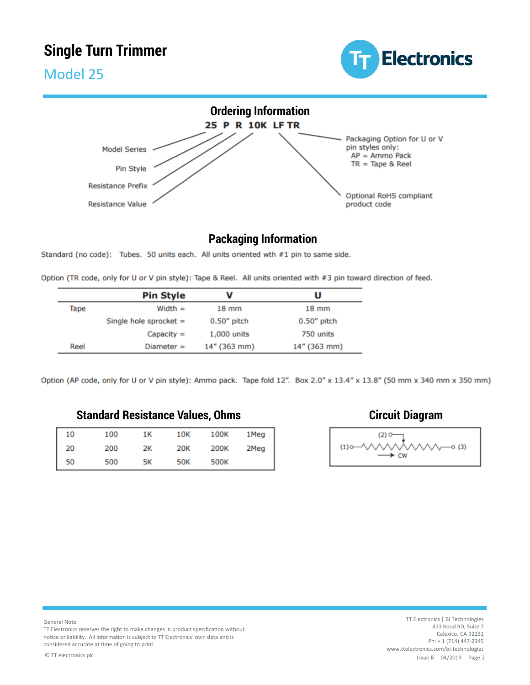# **Single Turn Trimmer**



Model 25



### **Packaging Information**

Standard (no code): Tubes. 50 units each. All units oriented wth #1 pin to same side.

Option (TR code, only for U or V pin style): Tape & Reel. All units oriented with #3 pin toward direction of feed.

|      | <b>Pin Style</b>         | v               | U               |
|------|--------------------------|-----------------|-----------------|
| Tape | $Width =$                | $18 \text{ mm}$ | $18 \text{ mm}$ |
|      | Single hole sprocket $=$ | $0.50''$ pitch  | $0.50''$ pitch  |
|      | $Capacity =$             | 1,000 units     | 750 units       |
| Reel | $Diameter =$             | 14" (363 mm)    | 14" (363 mm)    |

Option (AP code, only for U or V pin style): Ammo pack. Tape fold 12". Box 2.0" x 13.4" x 13.8" (50 mm x 340 mm x 350 mm)

#### **Standard Resistance Values, Ohms Circuit Diagram**

| 10 | 100 | 1K | 10K        | 100K | 1Meg |
|----|-----|----|------------|------|------|
| 20 | 200 | 2К | <b>20K</b> | 200K | 2Meg |
| 50 | 500 | 5К | <b>50K</b> | 500K |      |





TT Electronics reserves the right to make changes in product specification without notice or liability. All information is subject to TT Electronics' own data and is considered accurate at time of going to print.

© TT electronics plc and the contract of the contract of the contract of the contract of the contract of the contract of the contract of the contract of the contract of the contract of the contract of the contract of the c TT Electronics | BI Technologies 413 Rood RD, Suite 7 Calexico, CA 92231 Ph: + 1 (714) 447-2345 www.ttelectronics.com/bi-technologies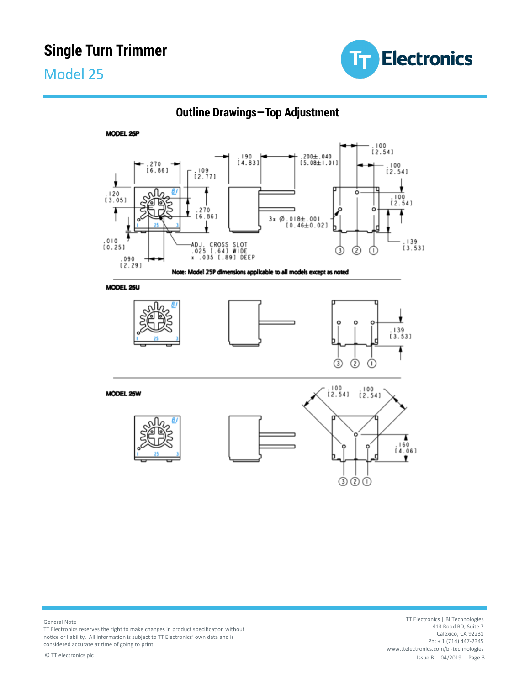# **Single Turn Trimmer**

# Model 25





**Outline Drawings—Top Adjustment**

#### General Note

TT Electronics reserves the right to make changes in product specification without notice or liability. All information is subject to TT Electronics' own data and is considered accurate at time of going to print.

© TT electronics plc and the contract of the contract of the contract of the contract of the contract of the contract of the contract of the contract of the contract of the contract of the contract of the contract of the c TT Electronics | BI Technologies 413 Rood RD, Suite 7 Calexico, CA 92231 Ph: + 1 (714) 447-2345 www.ttelectronics.com/bi-technologies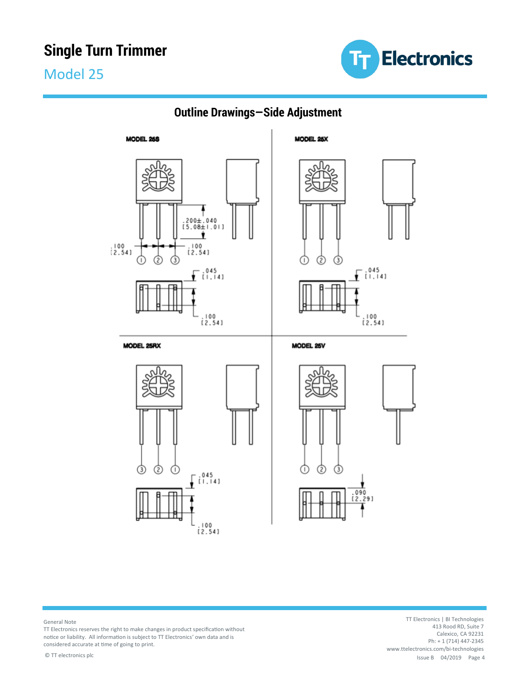





## **Outline Drawings—Side Adjustment**

General Note

TT Electronics reserves the right to make changes in product specification without notice or liability. All information is subject to TT Electronics' own data and is considered accurate at time of going to print.

© TT electronics plc and the contract of the contract of the contract of the contract of the contract of the contract of the contract of the contract of the contract of the contract of the contract of the contract of the c TT Electronics | BI Technologies 413 Rood RD, Suite 7 Calexico, CA 92231 Ph: + 1 (714) 447-2345 www.ttelectronics.com/bi-technologies